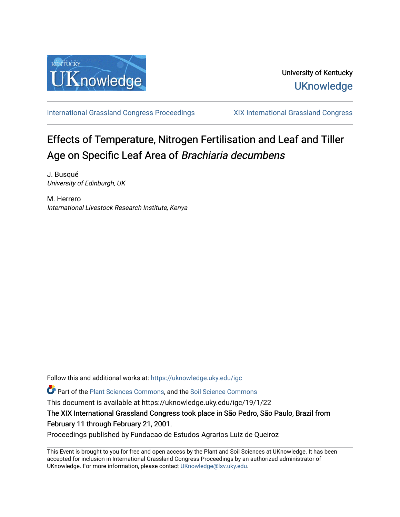

[International Grassland Congress Proceedings](https://uknowledge.uky.edu/igc) [XIX International Grassland Congress](https://uknowledge.uky.edu/igc/19) 

# Effects of Temperature, Nitrogen Fertilisation and Leaf and Tiller Age on Specific Leaf Area of Brachiaria decumbens

J. Busqué University of Edinburgh, UK

M. Herrero International Livestock Research Institute, Kenya

Follow this and additional works at: [https://uknowledge.uky.edu/igc](https://uknowledge.uky.edu/igc?utm_source=uknowledge.uky.edu%2Figc%2F19%2F1%2F22&utm_medium=PDF&utm_campaign=PDFCoverPages) 

Part of the [Plant Sciences Commons](http://network.bepress.com/hgg/discipline/102?utm_source=uknowledge.uky.edu%2Figc%2F19%2F1%2F22&utm_medium=PDF&utm_campaign=PDFCoverPages), and the [Soil Science Commons](http://network.bepress.com/hgg/discipline/163?utm_source=uknowledge.uky.edu%2Figc%2F19%2F1%2F22&utm_medium=PDF&utm_campaign=PDFCoverPages) 

This document is available at https://uknowledge.uky.edu/igc/19/1/22

The XIX International Grassland Congress took place in São Pedro, São Paulo, Brazil from February 11 through February 21, 2001.

Proceedings published by Fundacao de Estudos Agrarios Luiz de Queiroz

This Event is brought to you for free and open access by the Plant and Soil Sciences at UKnowledge. It has been accepted for inclusion in International Grassland Congress Proceedings by an authorized administrator of UKnowledge. For more information, please contact [UKnowledge@lsv.uky.edu](mailto:UKnowledge@lsv.uky.edu).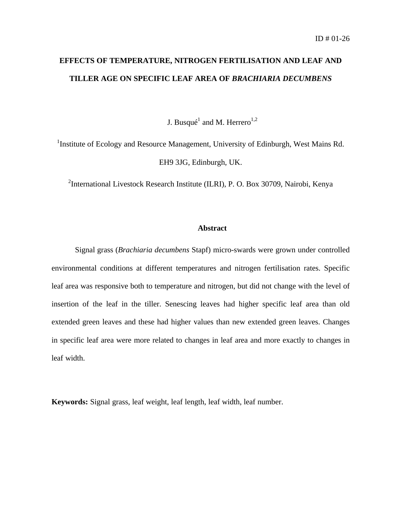## **EFFECTS OF TEMPERATURE, NITROGEN FERTILISATION AND LEAF AND TILLER AGE ON SPECIFIC LEAF AREA OF** *BRACHIARIA DECUMBENS*

J. Busqué<sup>1</sup> and M. Herrero<sup>1,2</sup>

<sup>1</sup>Institute of Ecology and Resource Management, University of Edinburgh, West Mains Rd. EH9 3JG, Edinburgh, UK.

<sup>2</sup>International Livestock Research Institute (ILRI), P. O. Box 30709, Nairobi, Kenya

#### **Abstract**

Signal grass (*Brachiaria decumbens* Stapf) micro-swards were grown under controlled environmental conditions at different temperatures and nitrogen fertilisation rates. Specific leaf area was responsive both to temperature and nitrogen, but did not change with the level of insertion of the leaf in the tiller. Senescing leaves had higher specific leaf area than old extended green leaves and these had higher values than new extended green leaves. Changes in specific leaf area were more related to changes in leaf area and more exactly to changes in leaf width.

**Keywords:** Signal grass, leaf weight, leaf length, leaf width, leaf number.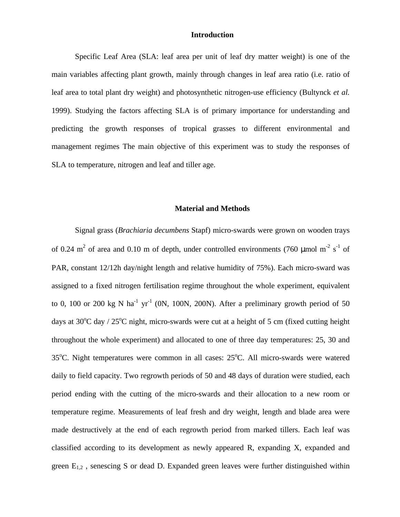#### **Introduction**

Specific Leaf Area (SLA: leaf area per unit of leaf dry matter weight) is one of the main variables affecting plant growth, mainly through changes in leaf area ratio (i.e. ratio of leaf area to total plant dry weight) and photosynthetic nitrogen-use efficiency (Bultynck *et al.* 1999). Studying the factors affecting SLA is of primary importance for understanding and predicting the growth responses of tropical grasses to different environmental and management regimes The main objective of this experiment was to study the responses of SLA to temperature, nitrogen and leaf and tiller age.

#### **Material and Methods**

Signal grass (*Brachiaria decumbens* Stapf) micro-swards were grown on wooden trays of 0.24 m<sup>2</sup> of area and 0.10 m of depth, under controlled environments (760 µmol m<sup>-2</sup> s<sup>-1</sup> of PAR, constant 12/12h day/night length and relative humidity of 75%). Each micro-sward was assigned to a fixed nitrogen fertilisation regime throughout the whole experiment, equivalent to 0, 100 or 200 kg N ha<sup>-1</sup> yr<sup>-1</sup> (0N, 100N, 200N). After a preliminary growth period of 50 days at  $30^{\circ}$ C day /  $25^{\circ}$ C night, micro-swards were cut at a height of 5 cm (fixed cutting height throughout the whole experiment) and allocated to one of three day temperatures: 25, 30 and  $35^{\circ}$ C. Night temperatures were common in all cases:  $25^{\circ}$ C. All micro-swards were watered daily to field capacity. Two regrowth periods of 50 and 48 days of duration were studied, each period ending with the cutting of the micro-swards and their allocation to a new room or temperature regime. Measurements of leaf fresh and dry weight, length and blade area were made destructively at the end of each regrowth period from marked tillers. Each leaf was classified according to its development as newly appeared R, expanding X, expanded and green  $E_{1,2}$ , senescing S or dead D. Expanded green leaves were further distinguished within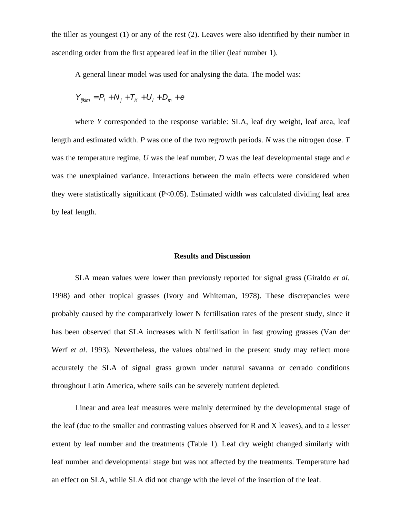the tiller as youngest (1) or any of the rest (2). Leaves were also identified by their number in ascending order from the first appeared leaf in the tiller (leaf number 1).

A general linear model was used for analysing the data. The model was:

$$
Y_{ijklm} = P_i + N_j + T_K + U_l + D_m + e
$$

where *Y* corresponded to the response variable: SLA, leaf dry weight, leaf area, leaf length and estimated width. *P* was one of the two regrowth periods. *N* was the nitrogen dose. *T* was the temperature regime, *U* was the leaf number, *D* was the leaf developmental stage and *e* was the unexplained variance. Interactions between the main effects were considered when they were statistically significant (P<0.05). Estimated width was calculated dividing leaf area by leaf length.

### **Results and Discussion**

SLA mean values were lower than previously reported for signal grass (Giraldo *et al.* 1998) and other tropical grasses (Ivory and Whiteman, 1978). These discrepancies were probably caused by the comparatively lower N fertilisation rates of the present study, since it has been observed that SLA increases with N fertilisation in fast growing grasses (Van der Werf *et al*. 1993). Nevertheless, the values obtained in the present study may reflect more accurately the SLA of signal grass grown under natural savanna or cerrado conditions throughout Latin America, where soils can be severely nutrient depleted.

Linear and area leaf measures were mainly determined by the developmental stage of the leaf (due to the smaller and contrasting values observed for R and X leaves), and to a lesser extent by leaf number and the treatments (Table 1). Leaf dry weight changed similarly with leaf number and developmental stage but was not affected by the treatments. Temperature had an effect on SLA, while SLA did not change with the level of the insertion of the leaf.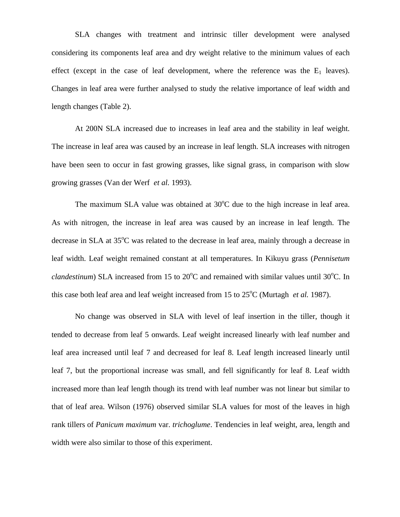SLA changes with treatment and intrinsic tiller development were analysed considering its components leaf area and dry weight relative to the minimum values of each effect (except in the case of leaf development, where the reference was the  $E_1$  leaves). Changes in leaf area were further analysed to study the relative importance of leaf width and length changes (Table 2).

At 200N SLA increased due to increases in leaf area and the stability in leaf weight. The increase in leaf area was caused by an increase in leaf length. SLA increases with nitrogen have been seen to occur in fast growing grasses, like signal grass, in comparison with slow growing grasses (Van der Werf *et al.* 1993).

The maximum SLA value was obtained at  $30^{\circ}$ C due to the high increase in leaf area. As with nitrogen, the increase in leaf area was caused by an increase in leaf length. The decrease in SLA at  $35^{\circ}$ C was related to the decrease in leaf area, mainly through a decrease in leaf width. Leaf weight remained constant at all temperatures. In Kikuyu grass (*Pennisetum clandestinum*) SLA increased from 15 to  $20^{\circ}$ C and remained with similar values until  $30^{\circ}$ C. In this case both leaf area and leaf weight increased from 15 to  $25^{\circ}$ C (Murtagh *et al.* 1987).

No change was observed in SLA with level of leaf insertion in the tiller, though it tended to decrease from leaf 5 onwards. Leaf weight increased linearly with leaf number and leaf area increased until leaf 7 and decreased for leaf 8. Leaf length increased linearly until leaf 7, but the proportional increase was small, and fell significantly for leaf 8. Leaf width increased more than leaf length though its trend with leaf number was not linear but similar to that of leaf area. Wilson (1976) observed similar SLA values for most of the leaves in high rank tillers of *Panicum maximum* var. *trichoglume*. Tendencies in leaf weight, area, length and width were also similar to those of this experiment.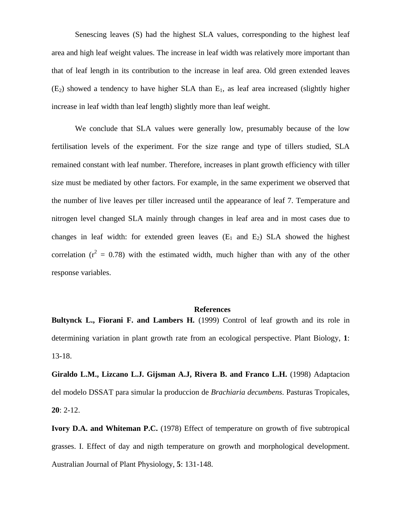Senescing leaves (S) had the highest SLA values, corresponding to the highest leaf area and high leaf weight values. The increase in leaf width was relatively more important than that of leaf length in its contribution to the increase in leaf area. Old green extended leaves  $(E_2)$  showed a tendency to have higher SLA than  $E_1$ , as leaf area increased (slightly higher increase in leaf width than leaf length) slightly more than leaf weight.

We conclude that SLA values were generally low, presumably because of the low fertilisation levels of the experiment. For the size range and type of tillers studied, SLA remained constant with leaf number. Therefore, increases in plant growth efficiency with tiller size must be mediated by other factors. For example, in the same experiment we observed that the number of live leaves per tiller increased until the appearance of leaf 7. Temperature and nitrogen level changed SLA mainly through changes in leaf area and in most cases due to changes in leaf width: for extended green leaves  $(E_1 \text{ and } E_2)$  SLA showed the highest correlation ( $r^2 = 0.78$ ) with the estimated width, much higher than with any of the other response variables.

#### **References**

**Bultynck L., Fiorani F. and Lambers H.** (1999) Control of leaf growth and its role in determining variation in plant growth rate from an ecological perspective. Plant Biology, **1**: 13-18.

**Giraldo L.M., Lizcano L.J. Gijsman A.J, Rivera B. and Franco L.H.** (1998) Adaptacion del modelo DSSAT para simular la produccion de *Brachiaria decumbens*. Pasturas Tropicales, **20**: 2-12.

**Ivory D.A. and Whiteman P.C.** (1978) Effect of temperature on growth of five subtropical grasses. I. Effect of day and nigth temperature on growth and morphological development. Australian Journal of Plant Physiology, **5**: 131-148.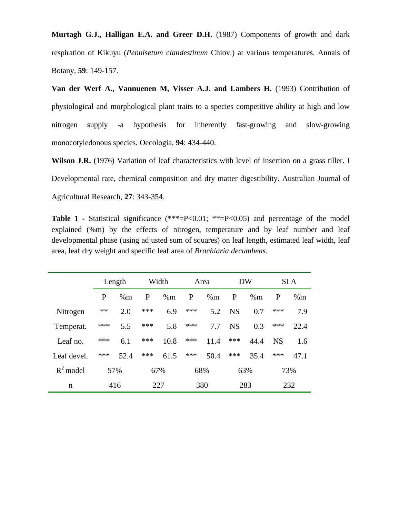**Murtagh G.J., Halligan E.A. and Greer D.H.** (1987) Components of growth and dark respiration of Kikuyu (*Pennisetum clandestinum* Chiov.) at various temperatures. Annals of Botany, **59**: 149-157.

**Van der Werf A., Vannuenen M, Visser A.J. and Lambers H.** (1993) Contribution of physiological and morphological plant traits to a species competitive ability at high and low nitrogen supply -a hypothesis for inherently fast-growing and slow-growing monocotyledonous species. Oecologia, **94**: 434-440.

**Wilson J.R.** (1976) Variation of leaf characteristics with level of insertion on a grass tiller. I Developmental rate, chemical composition and dry matter digestibility. Australian Journal of Agricultural Research, **27**: 343-354.

**Table 1 -** Statistical significance (\*\*\*=P<0.01; \*\*=P<0.05) and percentage of the model explained (%m) by the effects of nitrogen, temperature and by leaf number and leaf developmental phase (using adjusted sum of squares) on leaf length, estimated leaf width, leaf area, leaf dry weight and specific leaf area of *Brachiaria decumbens*.

|             | Length |      | Width        |      | Area |      | <b>DW</b> |      | <b>SLA</b> |      |
|-------------|--------|------|--------------|------|------|------|-----------|------|------------|------|
|             | P      | %m   | $\mathbf{P}$ | %m   | P    | %m   | P         | %m   | P          | %m   |
| Nitrogen    | **     | 2.0  | ***          | 6.9  | ***  | 5.2  | <b>NS</b> | 0.7  | ***        | 7.9  |
| Temperat.   | ***    | 5.5  | ***          | 5.8  | ***  | 7.7  | <b>NS</b> | 0.3  | ***        | 22.4 |
| Leaf no.    | ***    | 6.1  | ***          | 10.8 | ***  | 11.4 | ***       | 44.4 | <b>NS</b>  | 1.6  |
| Leaf devel. | ***    | 52.4 | ***          | 61.5 | ***  | 50.4 | ***       | 35.4 | ***        | 47.1 |
| $R^2$ model | 57%    |      | 67%          |      | 68%  |      | 63%       |      | 73%        |      |
| n           | 416    |      | 227          |      | 380  |      | 283       |      | 232        |      |